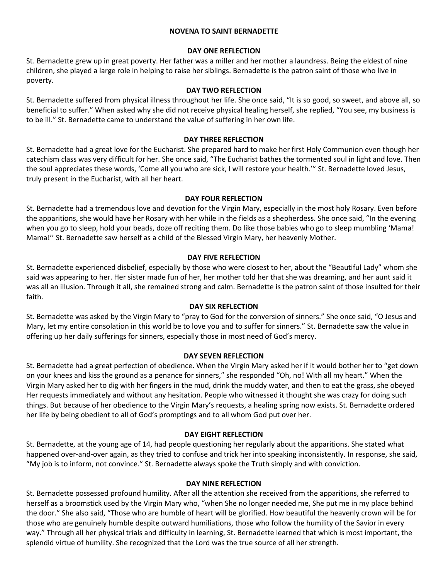#### **NOVENA TO SAINT BERNADETTE**

#### **DAY ONE REFLECTION**

St. Bernadette grew up in great poverty. Her father was a miller and her mother a laundress. Being the eldest of nine children, she played a large role in helping to raise her siblings. Bernadette is the patron saint of those who live in poverty.

#### **DAY TWO REFLECTION**

St. Bernadette suffered from physical illness throughout her life. She once said, "It is so good, so sweet, and above all, so beneficial to suffer." When asked why she did not receive physical healing herself, she replied, "You see, my business is to be ill." St. Bernadette came to understand the value of suffering in her own life.

## **DAY THREE REFLECTION**

St. Bernadette had a great love for the Eucharist. She prepared hard to make her first Holy Communion even though her catechism class was very difficult for her. She once said, "The Eucharist bathes the tormented soul in light and love. Then the soul appreciates these words, 'Come all you who are sick, I will restore your health.'" St. Bernadette loved Jesus, truly present in the Eucharist, with all her heart.

#### **DAY FOUR REFLECTION**

St. Bernadette had a tremendous love and devotion for the Virgin Mary, especially in the most holy Rosary. Even before the apparitions, she would have her Rosary with her while in the fields as a shepherdess. She once said, "In the evening when you go to sleep, hold your beads, doze off reciting them. Do like those babies who go to sleep mumbling 'Mama! Mama!'' St. Bernadette saw herself as a child of the Blessed Virgin Mary, her heavenly Mother.

## **DAY FIVE REFLECTION**

St. Bernadette experienced disbelief, especially by those who were closest to her, about the "Beautiful Lady" whom she said was appearing to her. Her sister made fun of her, her mother told her that she was dreaming, and her aunt said it was all an illusion. Through it all, she remained strong and calm. Bernadette is the patron saint of those insulted for their faith.

## **DAY SIX REFLECTION**

St. Bernadette was asked by the Virgin Mary to "pray to God for the conversion of sinners." She once said, "O Jesus and Mary, let my entire consolation in this world be to love you and to suffer for sinners." St. Bernadette saw the value in offering up her daily sufferings for sinners, especially those in most need of God's mercy.

## **DAY SEVEN REFLECTION**

St. Bernadette had a great perfection of obedience. When the Virgin Mary asked her if it would bother her to "get down on your knees and kiss the ground as a penance for sinners," she responded "Oh, no! With all my heart." When the Virgin Mary asked her to dig with her fingers in the mud, drink the muddy water, and then to eat the grass, she obeyed Her requests immediately and without any hesitation. People who witnessed it thought she was crazy for doing such things. But because of her obedience to the Virgin Mary's requests, a healing spring now exists. St. Bernadette ordered her life by being obedient to all of God's promptings and to all whom God put over her.

## **DAY EIGHT REFLECTION**

St. Bernadette, at the young age of 14, had people questioning her regularly about the apparitions. She stated what happened over-and-over again, as they tried to confuse and trick her into speaking inconsistently. In response, she said, "My job is to inform, not convince." St. Bernadette always spoke the Truth simply and with conviction.

#### **DAY NINE REFLECTION**

St. Bernadette possessed profound humility. After all the attention she received from the apparitions, she referred to herself as a broomstick used by the Virgin Mary who, "when She no longer needed me, She put me in my place behind the door." She also said, "Those who are humble of heart will be glorified. How beautiful the heavenly crown will be for those who are genuinely humble despite outward humiliations, those who follow the humility of the Savior in every way." Through all her physical trials and difficulty in learning, St. Bernadette learned that which is most important, the splendid virtue of humility. She recognized that the Lord was the true source of all her strength.